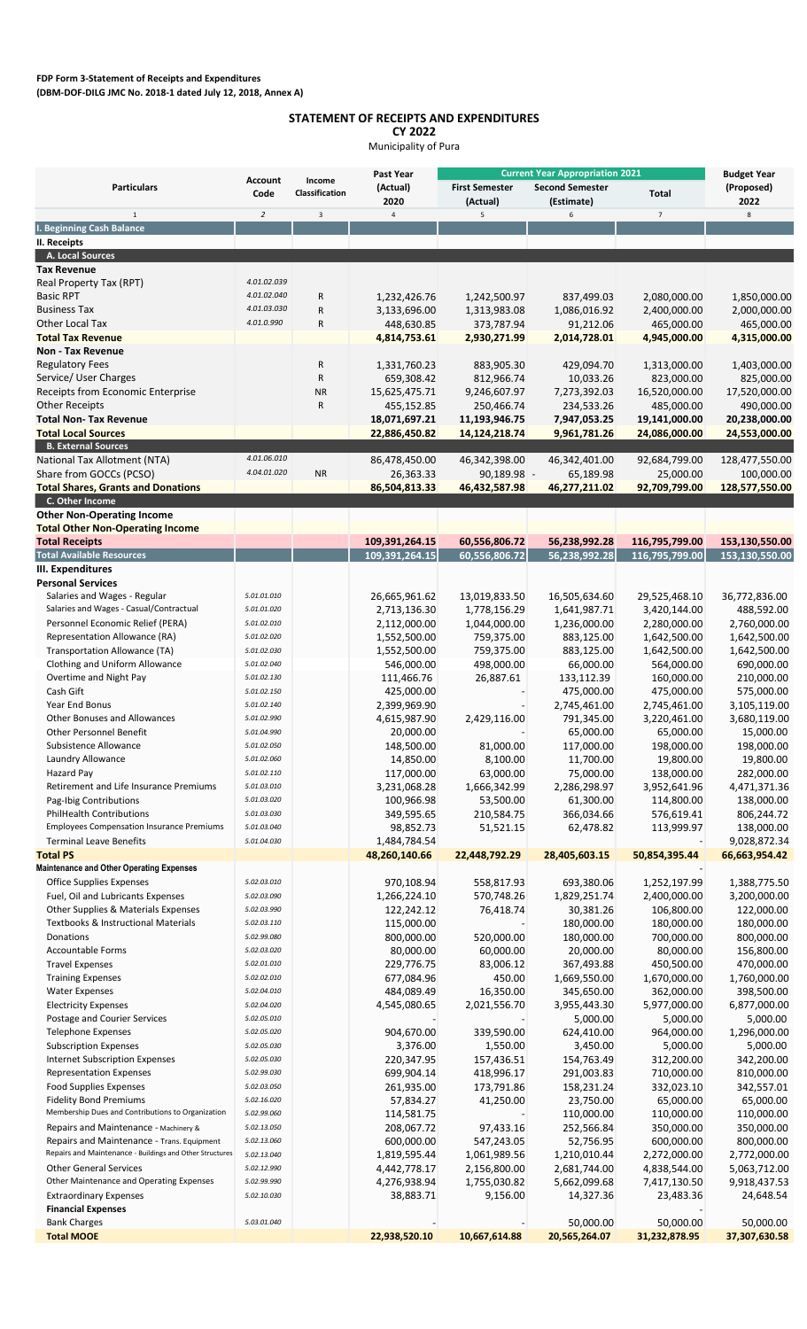## **STATEMENT OF RECEIPTS AND EXPENDITURES**

**CY 2022**

Municipality of Pura

|                                                                                                        | <b>Account</b><br>Code     | Income<br>Classification | Past Year<br>(Actual)<br>2020 | <b>Current Year Appropriation 2021</b> |                                      |                               | <b>Budget Year</b>           |
|--------------------------------------------------------------------------------------------------------|----------------------------|--------------------------|-------------------------------|----------------------------------------|--------------------------------------|-------------------------------|------------------------------|
| <b>Particulars</b>                                                                                     |                            |                          |                               | <b>First Semester</b><br>(Actual)      | <b>Second Semester</b><br>(Estimate) | Total                         | (Proposed)<br>2022           |
| $1\,$                                                                                                  | $\overline{2}$             | $\overline{3}$           | $\overline{4}$                | 5                                      | 6                                    | $\overline{7}$                | 8                            |
| I. Beginning Cash Balance                                                                              |                            |                          |                               |                                        |                                      |                               |                              |
| II. Receipts                                                                                           |                            |                          |                               |                                        |                                      |                               |                              |
| A. Local Sources<br><b>Tax Revenue</b>                                                                 |                            |                          |                               |                                        |                                      |                               |                              |
| Real Property Tax (RPT)                                                                                | 4.01.02.039                |                          |                               |                                        |                                      |                               |                              |
| <b>Basic RPT</b>                                                                                       | 4.01.02.040                | ${\sf R}$                | 1,232,426.76                  | 1,242,500.97                           | 837,499.03                           | 2,080,000.00                  | 1,850,000.00                 |
| <b>Business Tax</b>                                                                                    | 4.01.03.030                | ${\sf R}$                | 3,133,696.00                  | 1,313,983.08                           | 1,086,016.92                         | 2,400,000.00                  | 2,000,000.00                 |
| <b>Other Local Tax</b>                                                                                 | 4.01.0.990                 | R                        | 448,630.85                    | 373,787.94                             | 91,212.06                            | 465,000.00                    | 465,000.00                   |
| <b>Total Tax Revenue</b>                                                                               |                            |                          | 4,814,753.61                  | 2,930,271.99                           | 2,014,728.01                         | 4,945,000.00                  | 4,315,000.00                 |
| <b>Non - Tax Revenue</b>                                                                               |                            |                          |                               |                                        |                                      |                               |                              |
| <b>Regulatory Fees</b>                                                                                 |                            | R                        | 1,331,760.23                  | 883,905.30                             | 429,094.70                           | 1,313,000.00                  | 1,403,000.00                 |
| Service/ User Charges                                                                                  |                            | ${\sf R}$                | 659,308.42                    | 812,966.74                             | 10,033.26                            | 823,000.00                    | 825,000.00                   |
| Receipts from Economic Enterprise                                                                      |                            | <b>NR</b>                | 15,625,475.71                 | 9,246,607.97                           | 7,273,392.03                         | 16,520,000.00                 | 17,520,000.00                |
| <b>Other Receipts</b>                                                                                  |                            | R                        | 455,152.85                    | 250,466.74                             | 234,533.26                           | 485,000.00                    | 490,000.00                   |
| <b>Total Non- Tax Revenue</b>                                                                          |                            |                          | 18,071,697.21                 | 11,193,946.75                          | 7,947,053.25                         | 19,141,000.00                 | 20,238,000.00                |
| <b>Total Local Sources</b><br><b>B. External Sources</b>                                               |                            |                          | 22,886,450.82                 | 14,124,218.74                          | 9,961,781.26                         | 24,086,000.00                 | 24,553,000.00                |
| <b>National Tax Allotment (NTA)</b>                                                                    | 4.01.06.010                |                          | 86,478,450.00                 | 46,342,398.00                          | 46,342,401.00                        | 92,684,799.00                 | 128,477,550.00               |
| Share from GOCCs (PCSO)                                                                                | 4.04.01.020                | <b>NR</b>                | 26,363.33                     | 90,189.98 -                            | 65,189.98                            | 25,000.00                     | 100,000.00                   |
| <b>Total Shares, Grants and Donations</b>                                                              |                            |                          | 86,504,813.33                 | 46,432,587.98                          | 46,277,211.02                        | 92,709,799.00                 | 128,577,550.00               |
| C. Other Income                                                                                        |                            |                          |                               |                                        |                                      |                               |                              |
| <b>Other Non-Operating Income</b>                                                                      |                            |                          |                               |                                        |                                      |                               |                              |
| <b>Total Other Non-Operating Income</b>                                                                |                            |                          |                               |                                        |                                      |                               |                              |
| <b>Total Receipts</b>                                                                                  |                            |                          | 109,391,264.15                | 60,556,806.72                          | 56,238,992.28                        | 116,795,799.00                | 153,130,550.00               |
| <b>Total Available Resources</b>                                                                       |                            |                          | 109,391,264.15                | 60,556,806.72                          | 56,238,992.28                        | 116,795,799.00                | 153,130,550.00               |
| III. Expenditures                                                                                      |                            |                          |                               |                                        |                                      |                               |                              |
| <b>Personal Services</b><br>Salaries and Wages - Regular                                               | 5.01.01.010                |                          |                               | 13,019,833.50                          | 16,505,634.60                        |                               | 36,772,836.00                |
| Salaries and Wages - Casual/Contractual                                                                | 5.01.01.020                |                          | 26,665,961.62<br>2,713,136.30 | 1,778,156.29                           | 1,641,987.71                         | 29,525,468.10<br>3,420,144.00 | 488,592.00                   |
| Personnel Economic Relief (PERA)                                                                       | 5.01.02.010                |                          | 2,112,000.00                  | 1,044,000.00                           | 1,236,000.00                         | 2,280,000.00                  | 2,760,000.00                 |
| Representation Allowance (RA)                                                                          | 5.01.02.020                |                          | 1,552,500.00                  | 759,375.00                             | 883,125.00                           | 1,642,500.00                  | 1,642,500.00                 |
| Transportation Allowance (TA)                                                                          | 5.01.02.030                |                          | 1,552,500.00                  | 759,375.00                             | 883,125.00                           | 1,642,500.00                  | 1,642,500.00                 |
| Clothing and Uniform Allowance                                                                         | 5.01.02.040                |                          | 546,000.00                    | 498,000.00                             | 66,000.00                            | 564,000.00                    | 690,000.00                   |
| Overtime and Night Pay                                                                                 | 5.01.02.130                |                          | 111,466.76                    | 26,887.61                              | 133,112.39                           | 160,000.00                    | 210,000.00                   |
| Cash Gift                                                                                              | 5.01.02.150                |                          | 425,000.00                    |                                        | 475,000.00                           | 475,000.00                    | 575,000.00                   |
| Year End Bonus                                                                                         | 5.01.02.140                |                          | 2,399,969.90                  |                                        | 2,745,461.00                         | 2,745,461.00                  | 3,105,119.00                 |
| <b>Other Bonuses and Allowances</b>                                                                    | 5.01.02.990                |                          | 4,615,987.90                  | 2,429,116.00                           | 791,345.00                           | 3,220,461.00                  | 3,680,119.00                 |
| <b>Other Personnel Benefit</b>                                                                         | 5.01.04.990                |                          | 20,000.00                     |                                        | 65,000.00                            | 65,000.00                     | 15,000.00                    |
| Subsistence Allowance                                                                                  | 5.01.02.050                |                          | 148,500.00                    | 81,000.00                              | 117,000.00                           | 198,000.00                    | 198,000.00                   |
| Laundry Allowance                                                                                      | 5.01.02.060                |                          | 14,850.00                     | 8,100.00                               | 11,700.00                            | 19,800.00                     | 19,800.00                    |
| <b>Hazard Pay</b><br>Retirement and Life Insurance Premiums                                            | 5.01.02.110<br>5.01.03.010 |                          | 117,000.00                    | 63,000.00<br>1,666,342.99              | 75,000.00<br>2,286,298.97            | 138,000.00<br>3,952,641.96    | 282,000.00<br>4,471,371.36   |
| Pag-Ibig Contributions                                                                                 | 5.01.03.020                |                          | 3,231,068.28<br>100,966.98    | 53,500.00                              | 61,300.00                            | 114,800.00                    | 138,000.00                   |
| <b>PhilHealth Contributions</b>                                                                        | 5.01.03.030                |                          | 349,595.65                    | 210,584.75                             | 366,034.66                           | 576,619.41                    | 806,244.72                   |
| <b>Employees Compensation Insurance Premiums</b>                                                       | 5.01.03.040                |                          | 98,852.73                     | 51,521.15                              | 62,478.82                            | 113,999.97                    | 138,000.00                   |
| <b>Terminal Leave Benefits</b>                                                                         | 5.01.04.030                |                          | 1,484,784.54                  |                                        |                                      |                               | 9,028,872.34                 |
| <b>Total PS</b>                                                                                        |                            |                          | 48,260,140.66                 | 22,448,792.29                          | 28,405,603.15                        | 50,854,395.44                 | 66,663,954.42                |
| <b>Maintenance and Other Operating Expenses</b>                                                        |                            |                          |                               |                                        |                                      |                               |                              |
| <b>Office Supplies Expenses</b>                                                                        | 5.02.03.010                |                          | 970,108.94                    | 558,817.93                             | 693,380.06                           | 1,252,197.99                  | 1,388,775.50                 |
| Fuel, Oil and Lubricants Expenses                                                                      | 5.02.03.090                |                          | 1,266,224.10                  | 570,748.26                             | 1,829,251.74                         | 2,400,000.00                  | 3,200,000.00                 |
| Other Supplies & Materials Expenses                                                                    | 5.02.03.990                |                          | 122,242.12                    | 76,418.74                              | 30,381.26                            | 106,800.00                    | 122,000.00                   |
| Textbooks & Instructional Materials                                                                    | 5.02.03.110                |                          | 115,000.00                    |                                        | 180,000.00                           | 180,000.00                    | 180,000.00                   |
| Donations                                                                                              | 5.02.99.080                |                          | 800,000.00                    | 520,000.00                             | 180,000.00                           | 700,000.00                    | 800,000.00                   |
| <b>Accountable Forms</b>                                                                               | 5.02.03.020<br>5.02.01.010 |                          | 80,000.00                     | 60,000.00                              | 20,000.00                            | 80,000.00                     | 156,800.00<br>470,000.00     |
| <b>Travel Expenses</b><br><b>Training Expenses</b>                                                     | 5.02.02.010                |                          | 229,776.75<br>677,084.96      | 83,006.12<br>450.00                    | 367,493.88<br>1,669,550.00           | 450,500.00<br>1,670,000.00    | 1,760,000.00                 |
| <b>Water Expenses</b>                                                                                  | 5.02.04.010                |                          | 484,089.49                    | 16,350.00                              | 345,650.00                           | 362,000.00                    | 398,500.00                   |
| <b>Electricity Expenses</b>                                                                            | 5.02.04.020                |                          | 4,545,080.65                  | 2,021,556.70                           | 3,955,443.30                         | 5,977,000.00                  | 6,877,000.00                 |
| Postage and Courier Services                                                                           | 5.02.05.010                |                          |                               |                                        | 5,000.00                             | 5,000.00                      | 5,000.00                     |
| <b>Telephone Expenses</b>                                                                              | 5.02.05.020                |                          | 904,670.00                    | 339,590.00                             | 624,410.00                           | 964,000.00                    | 1,296,000.00                 |
| <b>Subscription Expenses</b>                                                                           | 5.02.05.030                |                          | 3,376.00                      | 1,550.00                               | 3,450.00                             | 5,000.00                      | 5,000.00                     |
| <b>Internet Subscription Expenses</b>                                                                  | 5.02.05.030                |                          | 220,347.95                    | 157,436.51                             | 154,763.49                           | 312,200.00                    | 342,200.00                   |
| <b>Representation Expenses</b>                                                                         | 5.02.99.030                |                          | 699,904.14                    | 418,996.17                             | 291,003.83                           | 710,000.00                    | 810,000.00                   |
| <b>Food Supplies Expenses</b>                                                                          | 5.02.03.050                |                          | 261,935.00                    | 173,791.86                             | 158,231.24                           | 332,023.10                    | 342,557.01                   |
| <b>Fidelity Bond Premiums</b>                                                                          | 5.02.16.020                |                          | 57,834.27                     | 41,250.00                              | 23,750.00                            | 65,000.00                     | 65,000.00                    |
| Membership Dues and Contributions to Organization                                                      | 5.02.99.060                |                          | 114,581.75                    |                                        | 110,000.00                           | 110,000.00                    | 110,000.00                   |
| Repairs and Maintenance - Machinery &                                                                  | 5.02.13.050                |                          | 208,067.72                    | 97,433.16                              | 252,566.84                           | 350,000.00                    | 350,000.00                   |
| Repairs and Maintenance - Trans. Equipment<br>Repairs and Maintenance - Buildings and Other Structures | 5.02.13.060<br>5.02.13.040 |                          | 600,000.00                    | 547,243.05                             | 52,756.95                            | 600,000.00                    | 800,000.00                   |
| <b>Other General Services</b>                                                                          | 5.02.12.990                |                          | 1,819,595.44<br>4,442,778.17  | 1,061,989.56<br>2,156,800.00           | 1,210,010.44<br>2,681,744.00         | 2,272,000.00<br>4,838,544.00  | 2,772,000.00<br>5,063,712.00 |
| Other Maintenance and Operating Expenses                                                               | 5.02.99.990                |                          | 4,276,938.94                  | 1,755,030.82                           | 5,662,099.68                         | 7,417,130.50                  | 9,918,437.53                 |
| <b>Extraordinary Expenses</b>                                                                          | 5.02.10.030                |                          | 38,883.71                     | 9,156.00                               | 14,327.36                            | 23,483.36                     | 24,648.54                    |
| <b>Financial Expenses</b>                                                                              |                            |                          |                               |                                        |                                      |                               |                              |
| <b>Bank Charges</b>                                                                                    | 5.03.01.040                |                          |                               |                                        | 50,000.00                            | 50,000.00                     | 50,000.00                    |
| <b>Total MOOE</b>                                                                                      |                            |                          | 22,938,520.10                 | 10,667,614.88                          | 20,565,264.07                        | 31,232,878.95                 | 37,307,630.58                |